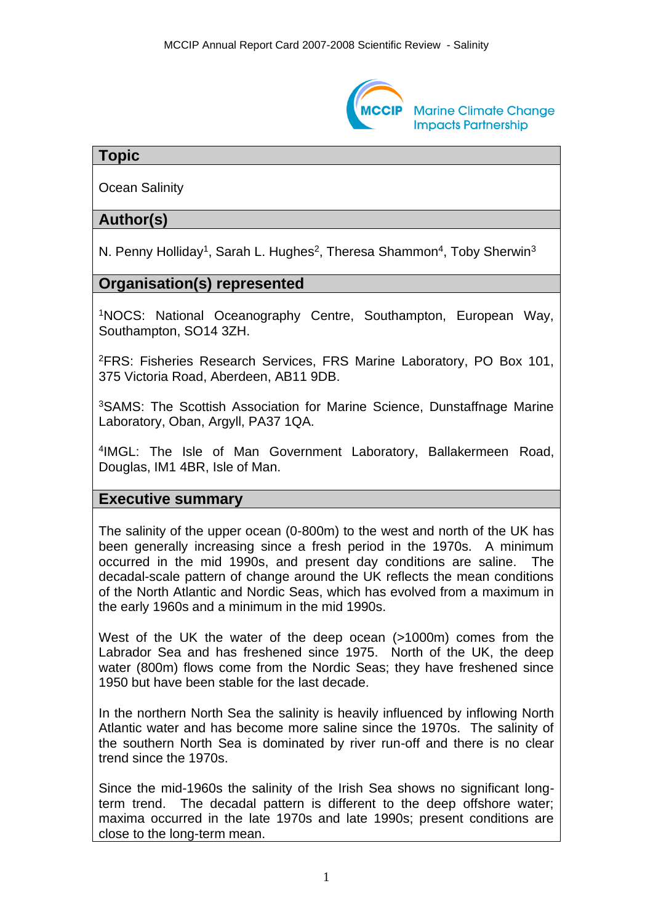

### **Topic**

Ocean Salinity

## **Author(s)**

N. Penny Holliday<sup>1</sup>, Sarah L. Hughes<sup>2</sup>, Theresa Shammon<sup>4</sup>, Toby Sherwin<sup>3</sup>

## **Organisation(s) represented**

<sup>1</sup>NOCS: National Oceanography Centre, Southampton, European Way, Southampton, SO14 3ZH.

<sup>2</sup>FRS: Fisheries Research Services, FRS Marine Laboratory, PO Box 101, 375 Victoria Road, Aberdeen, AB11 9DB.

<sup>3</sup>SAMS: The Scottish Association for Marine Science, Dunstaffnage Marine Laboratory, Oban, Argyll, PA37 1QA.

4 IMGL: The Isle of Man Government Laboratory, Ballakermeen Road, Douglas, IM1 4BR, Isle of Man.

#### **Executive summary**

The salinity of the upper ocean (0-800m) to the west and north of the UK has been generally increasing since a fresh period in the 1970s. A minimum occurred in the mid 1990s, and present day conditions are saline. The decadal-scale pattern of change around the UK reflects the mean conditions of the North Atlantic and Nordic Seas, which has evolved from a maximum in the early 1960s and a minimum in the mid 1990s.

West of the UK the water of the deep ocean (>1000m) comes from the Labrador Sea and has freshened since 1975. North of the UK, the deep water (800m) flows come from the Nordic Seas; they have freshened since 1950 but have been stable for the last decade.

In the northern North Sea the salinity is heavily influenced by inflowing North Atlantic water and has become more saline since the 1970s. The salinity of the southern North Sea is dominated by river run-off and there is no clear trend since the 1970s.

Since the mid-1960s the salinity of the Irish Sea shows no significant longterm trend. The decadal pattern is different to the deep offshore water; maxima occurred in the late 1970s and late 1990s; present conditions are close to the long-term mean.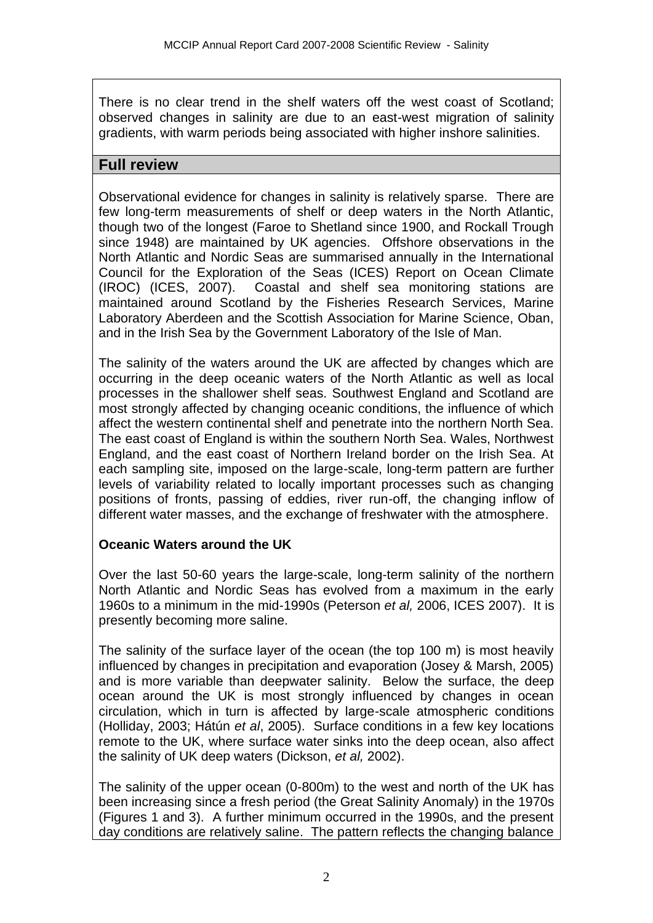There is no clear trend in the shelf waters off the west coast of Scotland; observed changes in salinity are due to an east-west migration of salinity gradients, with warm periods being associated with higher inshore salinities.

## **Full review**

Observational evidence for changes in salinity is relatively sparse. There are few long-term measurements of shelf or deep waters in the North Atlantic, though two of the longest (Faroe to Shetland since 1900, and Rockall Trough since 1948) are maintained by UK agencies. Offshore observations in the North Atlantic and Nordic Seas are summarised annually in the International Council for the Exploration of the Seas (ICES) Report on Ocean Climate (IROC) (ICES, 2007). Coastal and shelf sea monitoring stations are maintained around Scotland by the Fisheries Research Services, Marine Laboratory Aberdeen and the Scottish Association for Marine Science, Oban, and in the Irish Sea by the Government Laboratory of the Isle of Man.

The salinity of the waters around the UK are affected by changes which are occurring in the deep oceanic waters of the North Atlantic as well as local processes in the shallower shelf seas. Southwest England and Scotland are most strongly affected by changing oceanic conditions, the influence of which affect the western continental shelf and penetrate into the northern North Sea. The east coast of England is within the southern North Sea. Wales, Northwest England, and the east coast of Northern Ireland border on the Irish Sea. At each sampling site, imposed on the large-scale, long-term pattern are further levels of variability related to locally important processes such as changing positions of fronts, passing of eddies, river run-off, the changing inflow of different water masses, and the exchange of freshwater with the atmosphere.

### **Oceanic Waters around the UK**

Over the last 50-60 years the large-scale, long-term salinity of the northern North Atlantic and Nordic Seas has evolved from a maximum in the early 1960s to a minimum in the mid-1990s (Peterson *et al,* 2006, ICES 2007). It is presently becoming more saline.

The salinity of the surface layer of the ocean (the top 100 m) is most heavily influenced by changes in precipitation and evaporation (Josey & Marsh, 2005) and is more variable than deepwater salinity. Below the surface, the deep ocean around the UK is most strongly influenced by changes in ocean circulation, which in turn is affected by large-scale atmospheric conditions (Holliday, 2003; Hátún *et al*, 2005). Surface conditions in a few key locations remote to the UK, where surface water sinks into the deep ocean, also affect the salinity of UK deep waters (Dickson, *et al,* 2002).

The salinity of the upper ocean (0-800m) to the west and north of the UK has been increasing since a fresh period (the Great Salinity Anomaly) in the 1970s (Figures 1 and 3). A further minimum occurred in the 1990s, and the present day conditions are relatively saline. The pattern reflects the changing balance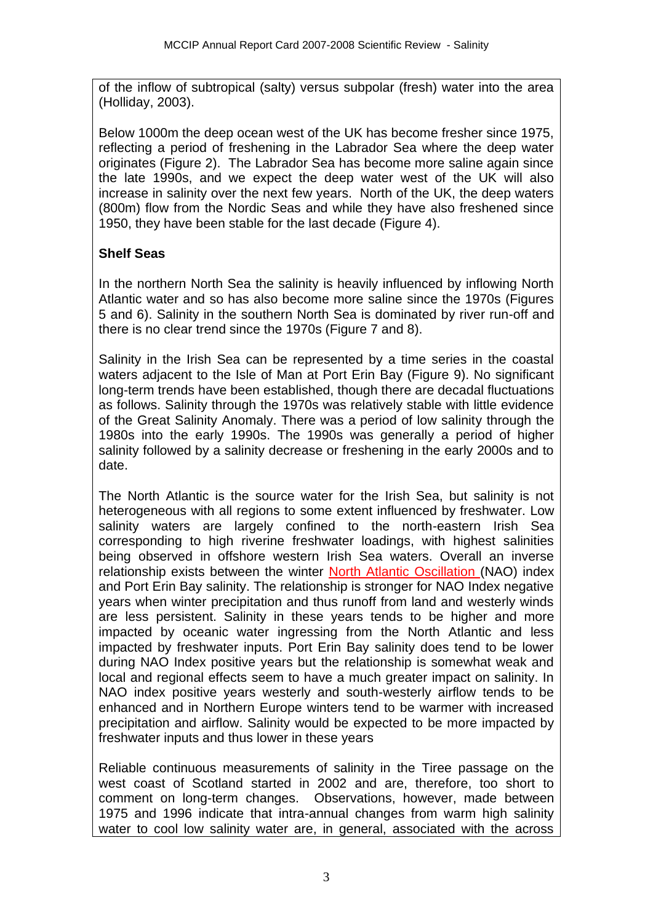of the inflow of subtropical (salty) versus subpolar (fresh) water into the area (Holliday, 2003).

Below 1000m the deep ocean west of the UK has become fresher since 1975, reflecting a period of freshening in the Labrador Sea where the deep water originates (Figure 2). The Labrador Sea has become more saline again since the late 1990s, and we expect the deep water west of the UK will also increase in salinity over the next few years. North of the UK, the deep waters (800m) flow from the Nordic Seas and while they have also freshened since 1950, they have been stable for the last decade (Figure 4).

# **Shelf Seas**

In the northern North Sea the salinity is heavily influenced by inflowing North Atlantic water and so has also become more saline since the 1970s (Figures 5 and 6). Salinity in the southern North Sea is dominated by river run-off and there is no clear trend since the 1970s (Figure 7 and 8).

Salinity in the Irish Sea can be represented by a time series in the coastal waters adjacent to the Isle of Man at Port Erin Bay (Figure 9). No significant long-term trends have been established, though there are decadal fluctuations as follows. Salinity through the 1970s was relatively stable with little evidence of the Great Salinity Anomaly. There was a period of low salinity through the 1980s into the early 1990s. The 1990s was generally a period of higher salinity followed by a salinity decrease or freshening in the early 2000s and to date.

The North Atlantic is the source water for the Irish Sea, but salinity is not heterogeneous with all regions to some extent influenced by freshwater. Low salinity waters are largely confined to the north-eastern Irish Sea corresponding to high riverine freshwater loadings, with highest salinities being observed in offshore western Irish Sea waters. Overall an inverse relationship exists between the winter North Atlantic Oscillation (NAO) index and Port Erin Bay salinity. The relationship is stronger for NAO Index negative years when winter precipitation and thus runoff from land and westerly winds are less persistent. Salinity in these years tends to be higher and more impacted by oceanic water ingressing from the North Atlantic and less impacted by freshwater inputs. Port Erin Bay salinity does tend to be lower during NAO Index positive years but the relationship is somewhat weak and local and regional effects seem to have a much greater impact on salinity. In NAO index positive years westerly and south-westerly airflow tends to be enhanced and in Northern Europe winters tend to be warmer with increased precipitation and airflow. Salinity would be expected to be more impacted by freshwater inputs and thus lower in these years

Reliable continuous measurements of salinity in the Tiree passage on the west coast of Scotland started in 2002 and are, therefore, too short to comment on long-term changes. Observations, however, made between 1975 and 1996 indicate that intra-annual changes from warm high salinity water to cool low salinity water are, in general, associated with the across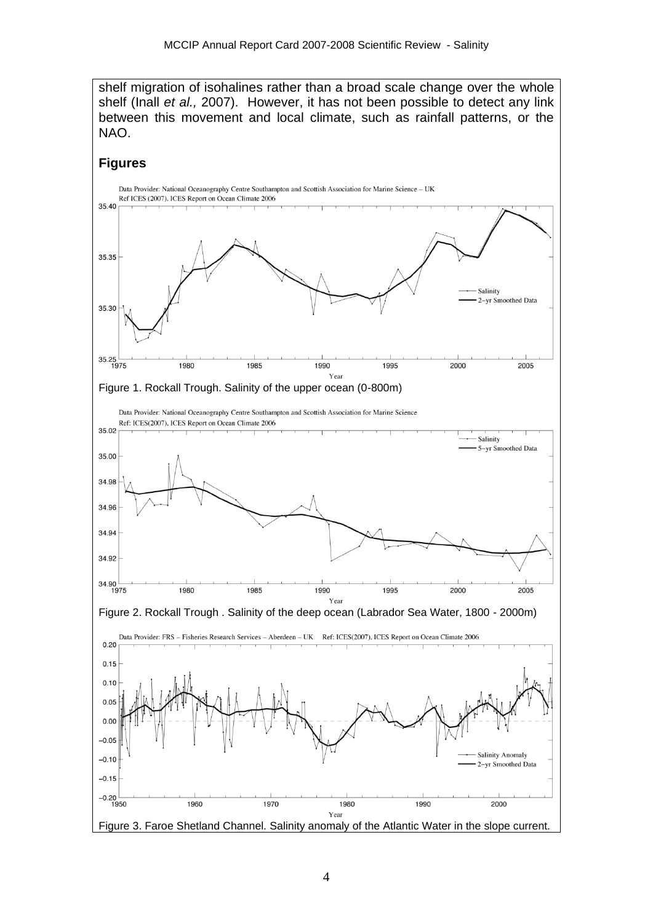shelf migration of isohalines rather than a broad scale change over the whole shelf (Inall *et al.,* 2007). However, it has not been possible to detect any link between this movement and local climate, such as rainfall patterns, or the NAO.

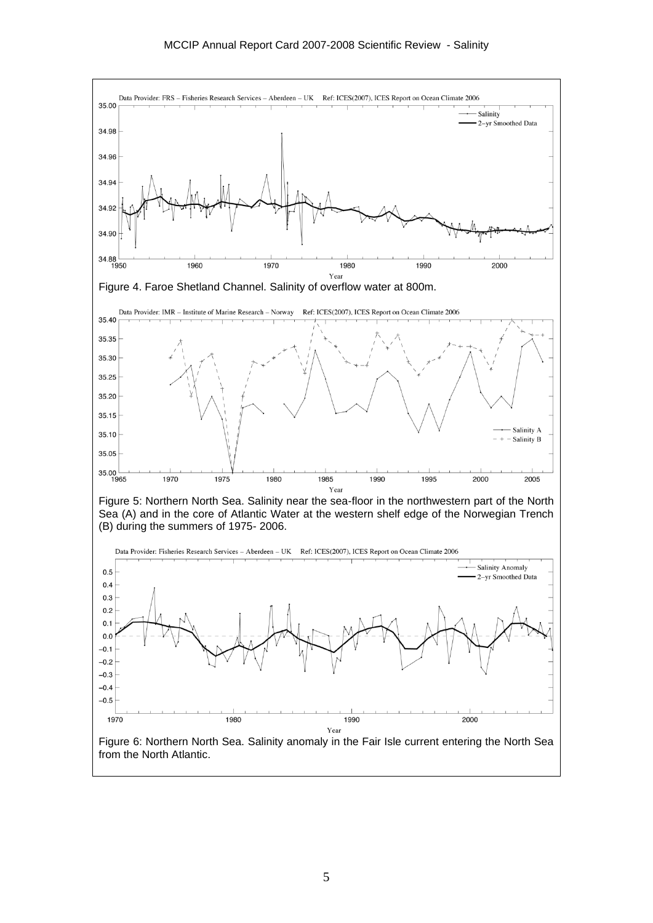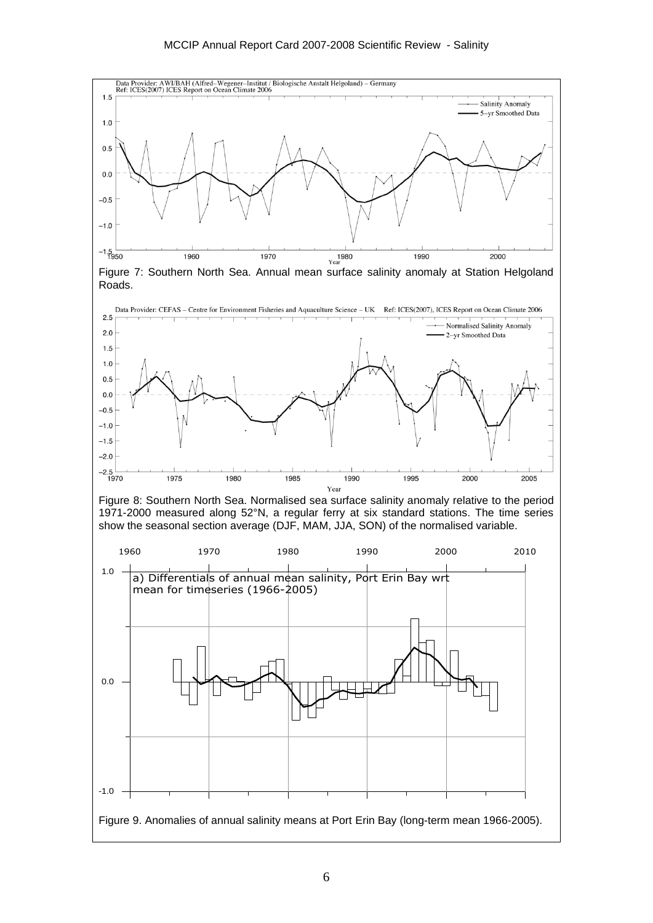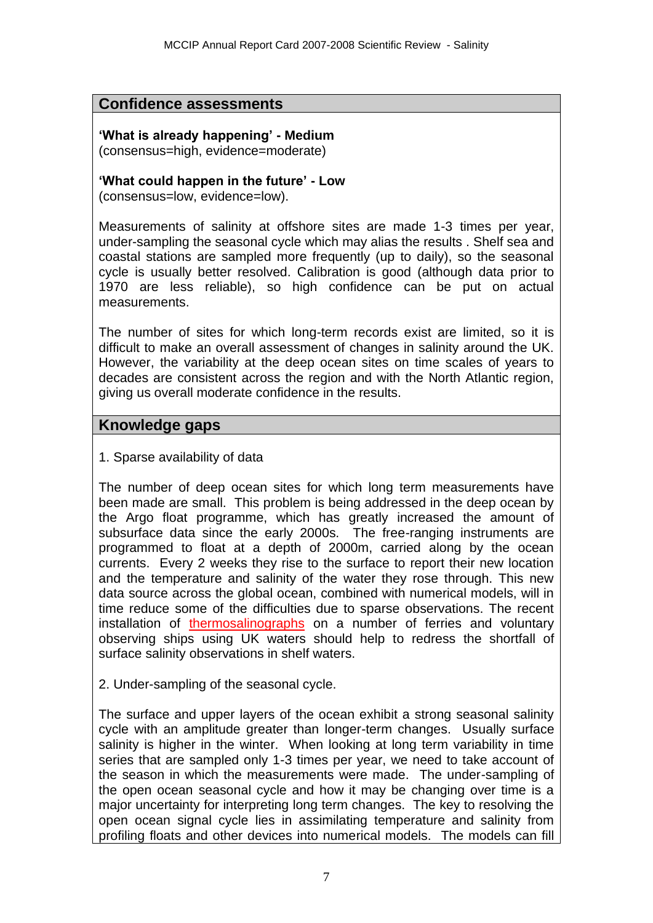## **Confidence assessments**

**'What is already happening' - Medium**  (consensus=high, evidence=moderate)

**'What could happen in the future' - Low**

(consensus=low, evidence=low).

Measurements of salinity at offshore sites are made 1-3 times per year, under-sampling the seasonal cycle which may alias the results . Shelf sea and coastal stations are sampled more frequently (up to daily), so the seasonal cycle is usually better resolved. Calibration is good (although data prior to 1970 are less reliable), so high confidence can be put on actual measurements.

The number of sites for which long-term records exist are limited, so it is difficult to make an overall assessment of changes in salinity around the UK. However, the variability at the deep ocean sites on time scales of years to decades are consistent across the region and with the North Atlantic region, giving us overall moderate confidence in the results.

## **Knowledge gaps**

1. Sparse availability of data

The number of deep ocean sites for which long term measurements have been made are small. This problem is being addressed in the deep ocean by the Argo float programme, which has greatly increased the amount of subsurface data since the early 2000s. The free-ranging instruments are programmed to float at a depth of 2000m, carried along by the ocean currents. Every 2 weeks they rise to the surface to report their new location and the temperature and salinity of the water they rose through. This new data source across the global ocean, combined with numerical models, will in time reduce some of the difficulties due to sparse observations. The recent installation of thermosalinographs on a number of ferries and voluntary observing ships using UK waters should help to redress the shortfall of surface salinity observations in shelf waters.

2. Under-sampling of the seasonal cycle.

The surface and upper layers of the ocean exhibit a strong seasonal salinity cycle with an amplitude greater than longer-term changes. Usually surface salinity is higher in the winter. When looking at long term variability in time series that are sampled only 1-3 times per year, we need to take account of the season in which the measurements were made. The under-sampling of the open ocean seasonal cycle and how it may be changing over time is a major uncertainty for interpreting long term changes. The key to resolving the open ocean signal cycle lies in assimilating temperature and salinity from profiling floats and other devices into numerical models. The models can fill